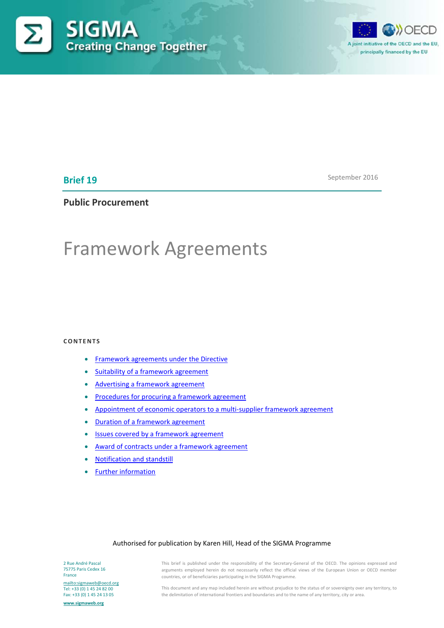



**Brief 19**

September 2016

# **Public Procurement**

# Framework Agreements

#### **CONTENTS**

- [Framework agreements under the Directive](#page-2-0)
- [Suitability of a framework agreement](#page-3-0)
- [Advertising a framework agreement](#page-3-1)
- [Procedures for procuring a framework agreement](#page-4-0)
- [Appointment of economic operators to a multi-supplier framework agreement](#page-4-1)
- [Duration of a framework agreement](#page-5-0)
- **[Issues covered by a framework agreement](#page-5-1)**
- [Award of contracts under a framework agreement](#page-5-2)
- [Notification and standstill](#page-8-0)
- [Further information](#page-10-0)

#### Authorised for publication by Karen Hill, Head of the SIGMA Programme

This brief is published under the responsibility of the Secretary-General of the OECD. The opinions expressed and arguments employed herein do not necessarily reflect the official views of the European Union or OECD member countries, or of beneficiaries participating in the SIGMA Programme.

This document and any map included herein are without prejudice to the status of or sovereignty over any territory, to the delimitation of international frontiers and boundaries and to the name of any territory, city or area.

France <mailto:sigmaweb@oecd.org> Tel: +33 (0) 1 45 24 82 00 Fax: +33 (0) 1 45 24 13 05

**[www.sigmaweb.org](http://www.sigmaweb.org/)**

2 Rue André Pascal 75775 Paris Cedex 16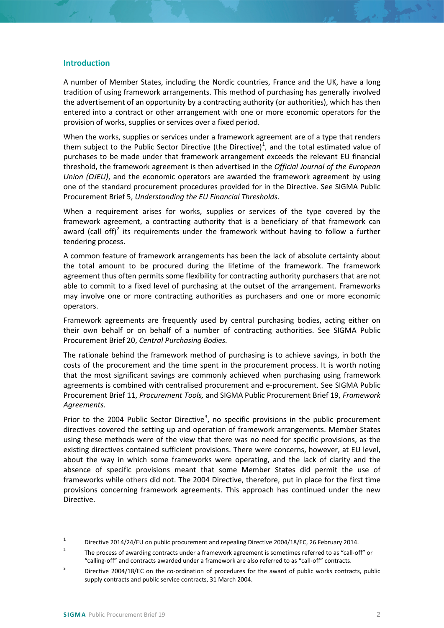## **Introduction**

A number of Member States, including the Nordic countries, France and the UK, have a long tradition of using framework arrangements. This method of purchasing has generally involved the advertisement of an opportunity by a contracting authority (or authorities), which has then entered into a contract or other arrangement with one or more economic operators for the provision of works, supplies or services over a fixed period.

When the works, supplies or services under a framework agreement are of a type that renders them subject to the Public Sector Directive (the Directive)<sup>[1](#page-1-0)</sup>, and the total estimated value of purchases to be made under that framework arrangement exceeds the relevant EU financial threshold, the framework agreement is then advertised in the *Official Journal of the European Union (OJEU)*, and the economic operators are awarded the framework agreement by using one of the standard procurement procedures provided for in the Directive. See SIGMA Public Procurement Brief 5, *Understanding the EU Financial Thresholds*.

When a requirement arises for works, supplies or services of the type covered by the framework agreement, a contracting authority that is a beneficiary of that framework can award (call off)<sup>[2](#page-1-1)</sup> its requirements under the framework without having to follow a further tendering process.

A common feature of framework arrangements has been the lack of absolute certainty about the total amount to be procured during the lifetime of the framework. The framework agreement thus often permits some flexibility for contracting authority purchasers that are not able to commit to a fixed level of purchasing at the outset of the arrangement. Frameworks may involve one or more contracting authorities as purchasers and one or more economic operators.

Framework agreements are frequently used by central purchasing bodies, acting either on their own behalf or on behalf of a number of contracting authorities. See SIGMA Public Procurement Brief 20, *Central Purchasing Bodies.*

The rationale behind the framework method of purchasing is to achieve savings, in both the costs of the procurement and the time spent in the procurement process. It is worth noting that the most significant savings are commonly achieved when purchasing using framework agreements is combined with centralised procurement and e-procurement. See SIGMA Public Procurement Brief 11, *Procurement Tools,* and SIGMA Public Procurement Brief 19, *Framework Agreements.*

Prior to the 2004 Public Sector Directive<sup>[3](#page-1-2)</sup>, no specific provisions in the public procurement directives covered the setting up and operation of framework arrangements. Member States using these methods were of the view that there was no need for specific provisions, as the existing directives contained sufficient provisions. There were concerns, however, at EU level, about the way in which some frameworks were operating, and the lack of clarity and the absence of specific provisions meant that some Member States did permit the use of frameworks while others did not. The 2004 Directive, therefore, put in place for the first time provisions concerning framework agreements. This approach has continued under the new Directive.

<sup>1</sup> Directive 2014/24/EU on public procurement and repealing Directive 2004/18/EC, 26 February 2014.

<span id="page-1-1"></span><span id="page-1-0"></span><sup>&</sup>lt;sup>2</sup> The process of awarding contracts under a framework agreement is sometimes referred to as "call-off" or "calling-off" and contracts awarded under a framework are also referred to as "call-off" contracts.

<span id="page-1-2"></span><sup>&</sup>lt;sup>3</sup> Directive 2004/18/EC on the co-ordination of procedures for the award of public works contracts, public supply contracts and public service contracts, 31 March 2004.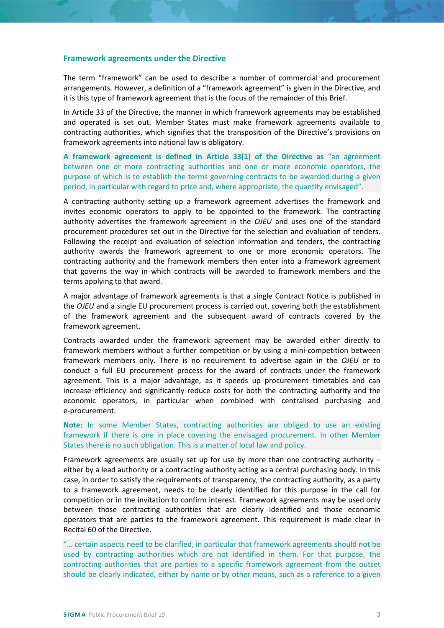#### <span id="page-2-0"></span>**Framework agreements under the Directive**

The term "framework" can be used to describe a number of commercial and procurement arrangements. However, a definition of a "framework agreement" is given in the Directive, and it is this type of framework agreement that is the focus of the remainder of this Brief.

In Article 33 of the Directive, the manner in which framework agreements may be established and operated is set out. Member States must make framework agreements available to contracting authorities, which signifies that the transposition of the Directive's provisions on framework agreements into national law is obligatory.

**A framework agreement is defined in Article 33(1) of the Directive as** "an agreement between one or more contracting authorities and one or more economic operators, the purpose of which is to establish the terms governing contracts to be awarded during a given period, in particular with regard to price and, where appropriate, the quantity envisaged".

A contracting authority setting up a framework agreement advertises the framework and invites economic operators to apply to be appointed to the framework. The contracting authority advertises the framework agreement in the *OJEU* and uses one of the standard procurement procedures set out in the Directive for the selection and evaluation of tenders. Following the receipt and evaluation of selection information and tenders, the contracting authority awards the framework agreement to one or more economic operators. The contracting authority and the framework members then enter into a framework agreement that governs the way in which contracts will be awarded to framework members and the terms applying to that award.

A major advantage of framework agreements is that a single Contract Notice is published in the *OJEU* and a single EU procurement process is carried out, covering both the establishment of the framework agreement and the subsequent award of contracts covered by the framework agreement.

Contracts awarded under the framework agreement may be awarded either directly to framework members without a further competition or by using a mini-competition between framework members only. There is no requirement to advertise again in the *OJEU* or to conduct a full EU procurement process for the award of contracts under the framework agreement. This is a major advantage, as it speeds up procurement timetables and can increase efficiency and significantly reduce costs for both the contracting authority and the economic operators, in particular when combined with centralised purchasing and e-procurement.

**Note:** In some Member States, contracting authorities are obliged to use an existing framework if there is one in place covering the envisaged procurement. In other Member States there is no such obligation. This is a matter of local law and policy.

Framework agreements are usually set up for use by more than one contracting authority  $$ either by a lead authority or a contracting authority acting as a central purchasing body. In this case, in order to satisfy the requirements of transparency, the contracting authority, as a party to a framework agreement, needs to be clearly identified for this purpose in the call for competition or in the invitation to confirm interest. Framework agreements may be used only between those contracting authorities that are clearly identified and those economic operators that are parties to the framework agreement. This requirement is made clear in Recital 60 of the Directive.

"… certain aspects need to be clarified, in particular that framework agreements should not be used by contracting authorities which are not identified in them. For that purpose, the contracting authorities that are parties to a specific framework agreement from the outset should be clearly indicated, either by name or by other means, such as a reference to a given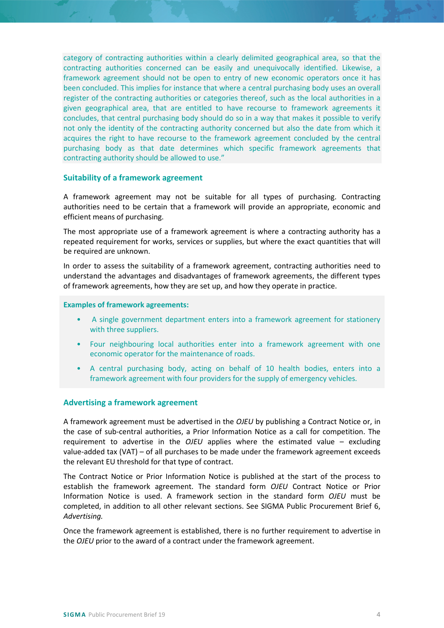category of contracting authorities within a clearly delimited geographical area, so that the contracting authorities concerned can be easily and unequivocally identified. Likewise, a framework agreement should not be open to entry of new economic operators once it has been concluded. This implies for instance that where a central purchasing body uses an overall register of the contracting authorities or categories thereof, such as the local authorities in a given geographical area, that are entitled to have recourse to framework agreements it concludes, that central purchasing body should do so in a way that makes it possible to verify not only the identity of the contracting authority concerned but also the date from which it acquires the right to have recourse to the framework agreement concluded by the central purchasing body as that date determines which specific framework agreements that contracting authority should be allowed to use."

## <span id="page-3-0"></span>**Suitability of a framework agreement**

A framework agreement may not be suitable for all types of purchasing. Contracting authorities need to be certain that a framework will provide an appropriate, economic and efficient means of purchasing.

The most appropriate use of a framework agreement is where a contracting authority has a repeated requirement for works, services or supplies, but where the exact quantities that will be required are unknown.

In order to assess the suitability of a framework agreement, contracting authorities need to understand the advantages and disadvantages of framework agreements, the different types of framework agreements, how they are set up, and how they operate in practice.

## **Examples of framework agreements:**

- A single government department enters into a framework agreement for stationery with three suppliers.
- Four neighbouring local authorities enter into a framework agreement with one economic operator for the maintenance of roads.
- A central purchasing body, acting on behalf of 10 health bodies, enters into a framework agreement with four providers for the supply of emergency vehicles.

# <span id="page-3-1"></span>**Advertising a framework agreement**

A framework agreement must be advertised in the *OJEU* by publishing a Contract Notice or, in the case of sub-central authorities, a Prior Information Notice as a call for competition. The requirement to advertise in the *OJEU* applies where the estimated value – excluding value-added tax (VAT) – of all purchases to be made under the framework agreement exceeds the relevant EU threshold for that type of contract.

The Contract Notice or Prior Information Notice is published at the start of the process to establish the framework agreement. The standard form *OJEU* Contract Notice or Prior Information Notice is used. A framework section in the standard form *OJEU* must be completed, in addition to all other relevant sections. See SIGMA Public Procurement Brief 6, *Advertising.*

Once the framework agreement is established, there is no further requirement to advertise in the *OJEU* prior to the award of a contract under the framework agreement.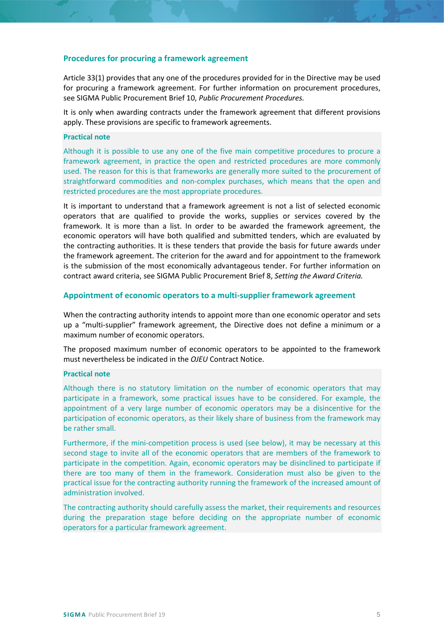## <span id="page-4-0"></span>**Procedures for procuring a framework agreement**

Article 33(1) provides that any one of the procedures provided for in the Directive may be used for procuring a framework agreement. For further information on procurement procedures, see SIGMA Public Procurement Brief 10, *Public Procurement Procedures.* 

It is only when awarding contracts under the framework agreement that different provisions apply. These provisions are specific to framework agreements.

#### **Practical note**

Although it is possible to use any one of the five main competitive procedures to procure a framework agreement, in practice the open and restricted procedures are more commonly used. The reason for this is that frameworks are generally more suited to the procurement of straightforward commodities and non-complex purchases, which means that the open and restricted procedures are the most appropriate procedures.

It is important to understand that a framework agreement is not a list of selected economic operators that are qualified to provide the works, supplies or services covered by the framework. It is more than a list. In order to be awarded the framework agreement, the economic operators will have both qualified and submitted tenders, which are evaluated by the contracting authorities. It is these tenders that provide the basis for future awards under the framework agreement. The criterion for the award and for appointment to the framework is the submission of the most economically advantageous tender. For further information on contract award criteria, see SIGMA Public Procurement Brief 8, *Setting the Award Criteria.*

#### <span id="page-4-1"></span>**Appointment of economic operators to a multi-supplier framework agreement**

When the contracting authority intends to appoint more than one economic operator and sets up a "multi-supplier" framework agreement, the Directive does not define a minimum or a maximum number of economic operators.

The proposed maximum number of economic operators to be appointed to the framework must nevertheless be indicated in the *OJEU* Contract Notice.

### **Practical note**

Although there is no statutory limitation on the number of economic operators that may participate in a framework, some practical issues have to be considered. For example, the appointment of a very large number of economic operators may be a disincentive for the participation of economic operators, as their likely share of business from the framework may be rather small.

Furthermore, if the mini-competition process is used (see below), it may be necessary at this second stage to invite all of the economic operators that are members of the framework to participate in the competition. Again, economic operators may be disinclined to participate if there are too many of them in the framework. Consideration must also be given to the practical issue for the contracting authority running the framework of the increased amount of administration involved.

The contracting authority should carefully assess the market, their requirements and resources during the preparation stage before deciding on the appropriate number of economic operators for a particular framework agreement.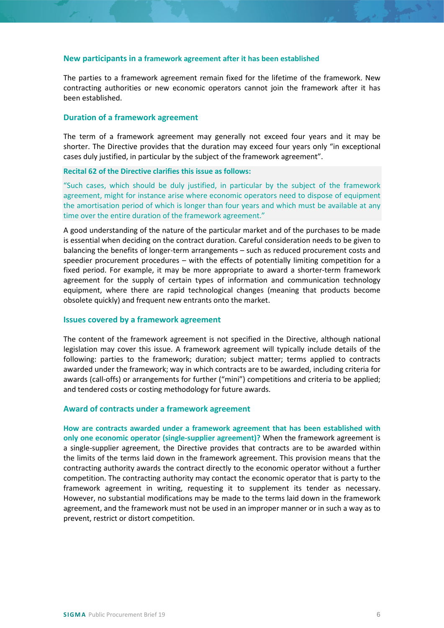#### **New participants in a framework agreement after it has been established**

The parties to a framework agreement remain fixed for the lifetime of the framework. New contracting authorities or new economic operators cannot join the framework after it has been established.

### <span id="page-5-0"></span>**Duration of a framework agreement**

The term of a framework agreement may generally not exceed four years and it may be shorter. The Directive provides that the duration may exceed four years only "in exceptional cases duly justified, in particular by the subject of the framework agreement".

#### **Recital 62 of the Directive clarifies this issue as follows:**

"Such cases, which should be duly justified, in particular by the subject of the framework agreement, might for instance arise where economic operators need to dispose of equipment the amortisation period of which is longer than four years and which must be available at any time over the entire duration of the framework agreement."

A good understanding of the nature of the particular market and of the purchases to be made is essential when deciding on the contract duration. Careful consideration needs to be given to balancing the benefits of longer-term arrangements – such as reduced procurement costs and speedier procurement procedures – with the effects of potentially limiting competition for a fixed period. For example, it may be more appropriate to award a shorter-term framework agreement for the supply of certain types of information and communication technology equipment, where there are rapid technological changes (meaning that products become obsolete quickly) and frequent new entrants onto the market.

#### <span id="page-5-1"></span>**Issues covered by a framework agreement**

The content of the framework agreement is not specified in the Directive, although national legislation may cover this issue. A framework agreement will typically include details of the following: parties to the framework; duration; subject matter; terms applied to contracts awarded under the framework; way in which contracts are to be awarded, including criteria for awards (call-offs) or arrangements for further ("mini") competitions and criteria to be applied; and tendered costs or costing methodology for future awards.

#### <span id="page-5-2"></span>**Award of contracts under a framework agreement**

**How are contracts awarded under a framework agreement that has been established with only one economic operator (single-supplier agreement)?** When the framework agreement is a single-supplier agreement, the Directive provides that contracts are to be awarded within the limits of the terms laid down in the framework agreement. This provision means that the contracting authority awards the contract directly to the economic operator without a further competition. The contracting authority may contact the economic operator that is party to the framework agreement in writing, requesting it to supplement its tender as necessary. However, no substantial modifications may be made to the terms laid down in the framework agreement, and the framework must not be used in an improper manner or in such a way as to prevent, restrict or distort competition.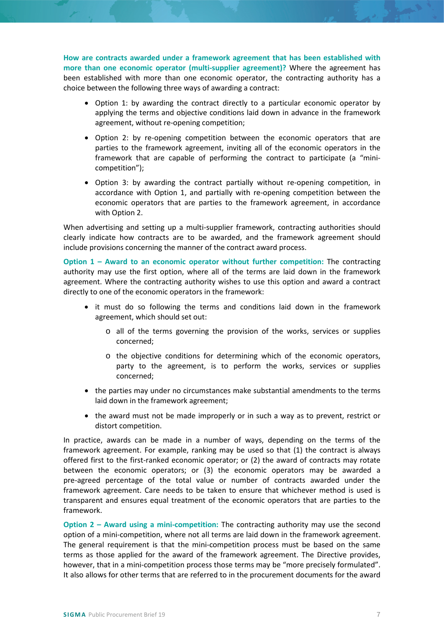**How are contracts awarded under a framework agreement that has been established with more than one economic operator (multi-supplier agreement)?** Where the agreement has been established with more than one economic operator, the contracting authority has a choice between the following three ways of awarding a contract:

- Option 1: by awarding the contract directly to a particular economic operator by applying the terms and objective conditions laid down in advance in the framework agreement, without re-opening competition;
- Option 2: by re-opening competition between the economic operators that are parties to the framework agreement, inviting all of the economic operators in the framework that are capable of performing the contract to participate (a "minicompetition");
- Option 3: by awarding the contract partially without re-opening competition, in accordance with Option 1, and partially with re-opening competition between the economic operators that are parties to the framework agreement, in accordance with Option 2.

When advertising and setting up a multi-supplier framework, contracting authorities should clearly indicate how contracts are to be awarded, and the framework agreement should include provisions concerning the manner of the contract award process.

**Option 1 – Award to an economic operator without further competition:** The contracting authority may use the first option, where all of the terms are laid down in the framework agreement. Where the contracting authority wishes to use this option and award a contract directly to one of the economic operators in the framework:

- it must do so following the terms and conditions laid down in the framework agreement, which should set out:
	- o all of the terms governing the provision of the works, services or supplies concerned;
	- o the objective conditions for determining which of the economic operators, party to the agreement, is to perform the works, services or supplies concerned;
- the parties may under no circumstances make substantial amendments to the terms laid down in the framework agreement;
- the award must not be made improperly or in such a way as to prevent, restrict or distort competition.

In practice, awards can be made in a number of ways, depending on the terms of the framework agreement. For example, ranking may be used so that (1) the contract is always offered first to the first-ranked economic operator; or (2) the award of contracts may rotate between the economic operators; or (3) the economic operators may be awarded a pre-agreed percentage of the total value or number of contracts awarded under the framework agreement. Care needs to be taken to ensure that whichever method is used is transparent and ensures equal treatment of the economic operators that are parties to the framework.

**Option 2 – Award using a mini-competition:** The contracting authority may use the second option of a mini-competition, where not all terms are laid down in the framework agreement. The general requirement is that the mini-competition process must be based on the same terms as those applied for the award of the framework agreement. The Directive provides, however, that in a mini-competition process those terms may be "more precisely formulated". It also allows for other terms that are referred to in the procurement documents for the award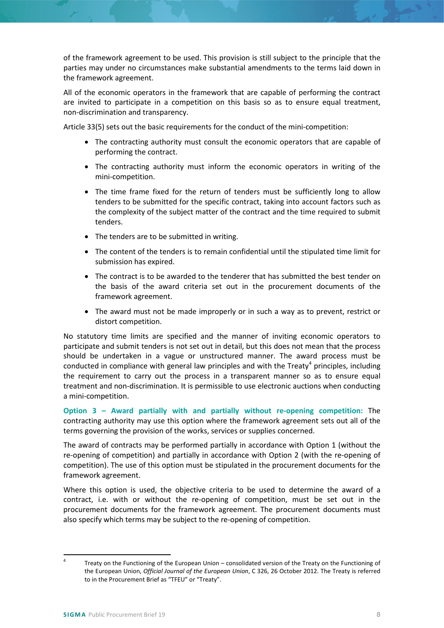of the framework agreement to be used. This provision is still subject to the principle that the parties may under no circumstances make substantial amendments to the terms laid down in the framework agreement.

All of the economic operators in the framework that are capable of performing the contract are invited to participate in a competition on this basis so as to ensure equal treatment, non-discrimination and transparency.

Article 33(5) sets out the basic requirements for the conduct of the mini-competition:

- The contracting authority must consult the economic operators that are capable of performing the contract.
- The contracting authority must inform the economic operators in writing of the mini-competition.
- The time frame fixed for the return of tenders must be sufficiently long to allow tenders to be submitted for the specific contract, taking into account factors such as the complexity of the subject matter of the contract and the time required to submit tenders.
- The tenders are to be submitted in writing.
- The content of the tenders is to remain confidential until the stipulated time limit for submission has expired.
- The contract is to be awarded to the tenderer that has submitted the best tender on the basis of the award criteria set out in the procurement documents of the framework agreement.
- The award must not be made improperly or in such a way as to prevent, restrict or distort competition.

No statutory time limits are specified and the manner of inviting economic operators to participate and submit tenders is not set out in detail, but this does not mean that the process should be undertaken in a vague or unstructured manner. The award process must be conducted in compliance with general law principles and with the Treaty<sup>[4](#page-7-0)</sup> principles, including the requirement to carry out the process in a transparent manner so as to ensure equal treatment and non-discrimination. It is permissible to use electronic auctions when conducting a mini-competition.

**Option 3 – Award partially with and partially without re-opening competition:** The contracting authority may use this option where the framework agreement sets out all of the terms governing the provision of the works, services or supplies concerned.

The award of contracts may be performed partially in accordance with Option 1 (without the re-opening of competition) and partially in accordance with Option 2 (with the re-opening of competition). The use of this option must be stipulated in the procurement documents for the framework agreement.

Where this option is used, the objective criteria to be used to determine the award of a contract, i.e. with or without the re-opening of competition, must be set out in the procurement documents for the framework agreement. The procurement documents must also specify which terms may be subject to the re-opening of competition.

<span id="page-7-0"></span><sup>&</sup>lt;sup>4</sup> Treaty on the Functioning of the European Union – consolidated version of the Treaty on the Functioning of the European Union, *Official Journal of the European Union*, C 326, 26 October 2012. The Treaty is referred to in the Procurement Brief as "TFEU" or "Treaty".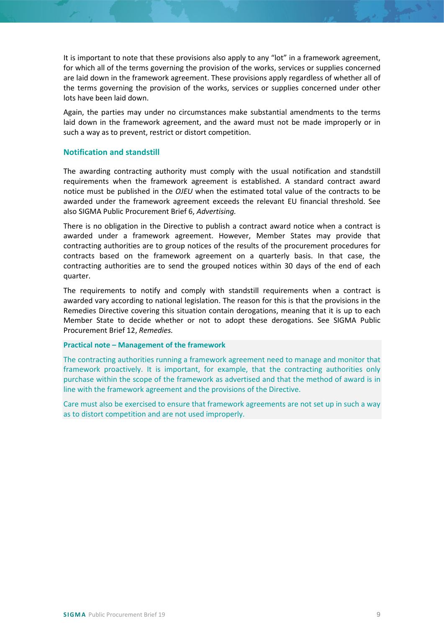It is important to note that these provisions also apply to any "lot" in a framework agreement, for which all of the terms governing the provision of the works, services or supplies concerned are laid down in the framework agreement. These provisions apply regardless of whether all of the terms governing the provision of the works, services or supplies concerned under other lots have been laid down.

Again, the parties may under no circumstances make substantial amendments to the terms laid down in the framework agreement, and the award must not be made improperly or in such a way as to prevent, restrict or distort competition.

# <span id="page-8-0"></span>**Notification and standstill**

The awarding contracting authority must comply with the usual notification and standstill requirements when the framework agreement is established. A standard contract award notice must be published in the *OJEU* when the estimated total value of the contracts to be awarded under the framework agreement exceeds the relevant EU financial threshold. See also SIGMA Public Procurement Brief 6, *Advertising.*

There is no obligation in the Directive to publish a contract award notice when a contract is awarded under a framework agreement. However, Member States may provide that contracting authorities are to group notices of the results of the procurement procedures for contracts based on the framework agreement on a quarterly basis. In that case, the contracting authorities are to send the grouped notices within 30 days of the end of each quarter.

The requirements to notify and comply with standstill requirements when a contract is awarded vary according to national legislation. The reason for this is that the provisions in the Remedies Directive covering this situation contain derogations, meaning that it is up to each Member State to decide whether or not to adopt these derogations. See SIGMA Public Procurement Brief 12, *Remedies.*

## **Practical note – Management of the framework**

The contracting authorities running a framework agreement need to manage and monitor that framework proactively. It is important, for example, that the contracting authorities only purchase within the scope of the framework as advertised and that the method of award is in line with the framework agreement and the provisions of the Directive.

Care must also be exercised to ensure that framework agreements are not set up in such a way as to distort competition and are not used improperly.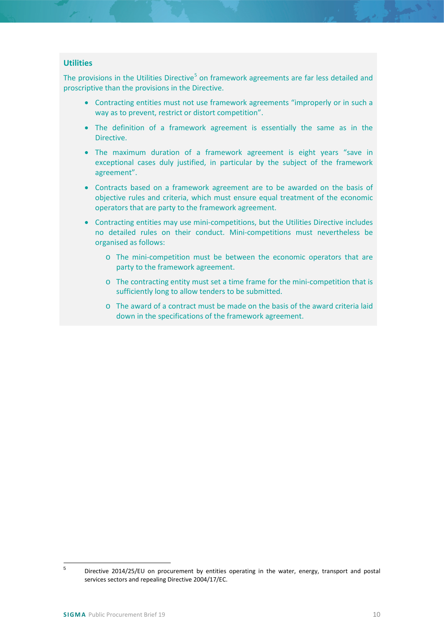# **Utilities**

The provisions in the Utilities Directive<sup>[5](#page-9-0)</sup> on framework agreements are far less detailed and proscriptive than the provisions in the Directive.

- Contracting entities must not use framework agreements "improperly or in such a way as to prevent, restrict or distort competition".
- The definition of a framework agreement is essentially the same as in the Directive.
- The maximum duration of a framework agreement is eight years "save in exceptional cases duly justified, in particular by the subject of the framework agreement".
- Contracts based on a framework agreement are to be awarded on the basis of objective rules and criteria, which must ensure equal treatment of the economic operators that are party to the framework agreement.
- Contracting entities may use mini-competitions, but the Utilities Directive includes no detailed rules on their conduct. Mini-competitions must nevertheless be organised as follows:
	- o The mini-competition must be between the economic operators that are party to the framework agreement.
	- o The contracting entity must set a time frame for the mini-competition that is sufficiently long to allow tenders to be submitted.
	- o The award of a contract must be made on the basis of the award criteria laid down in the specifications of the framework agreement.

<span id="page-9-0"></span><sup>5</sup> Directive 2014/25/EU on procurement by entities operating in the water, energy, transport and postal services sectors and repealing Directive 2004/17/EC.